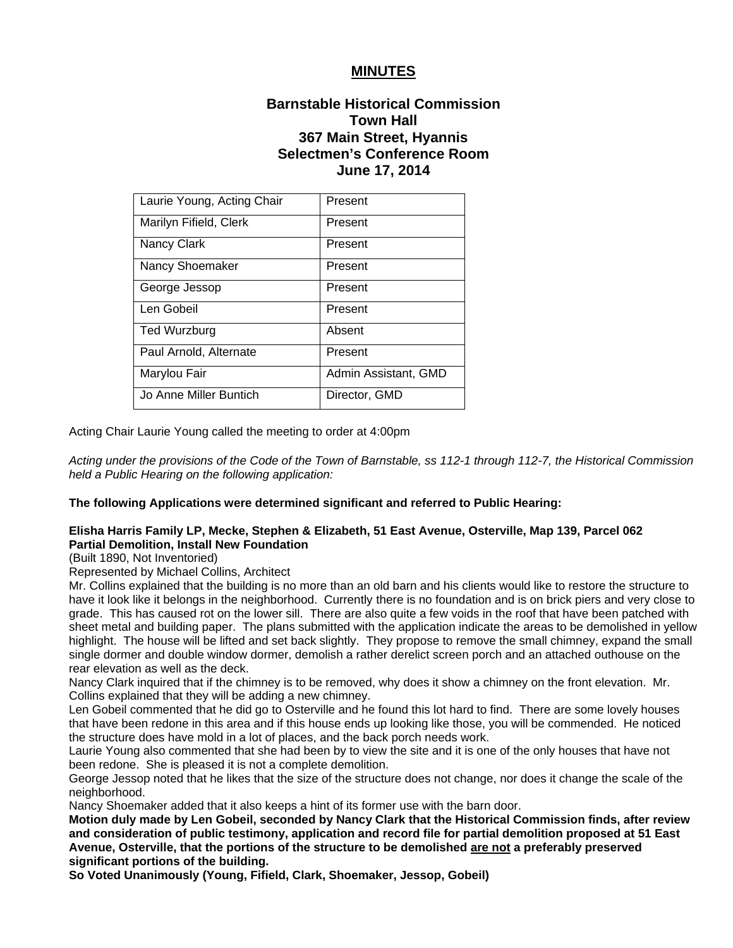## **MINUTES**

# **Barnstable Historical Commission Town Hall 367 Main Street, Hyannis Selectmen's Conference Room June 17, 2014**

| Laurie Young, Acting Chair | Present              |
|----------------------------|----------------------|
| Marilyn Fifield, Clerk     | Present              |
| Nancy Clark                | Present              |
| Nancy Shoemaker            | Present              |
| George Jessop              | Present              |
| Len Gobeil                 | Present              |
| Ted Wurzburg               | Absent               |
| Paul Arnold, Alternate     | Present              |
| Marylou Fair               | Admin Assistant, GMD |
| Jo Anne Miller Buntich     | Director, GMD        |

Acting Chair Laurie Young called the meeting to order at 4:00pm

*Acting under the provisions of the Code of the Town of Barnstable, ss 112-1 through 112-7, the Historical Commission held a Public Hearing on the following application:* 

### **The following Applications were determined significant and referred to Public Hearing:**

### **Elisha Harris Family LP, Mecke, Stephen & Elizabeth, 51 East Avenue, Osterville, Map 139, Parcel 062 Partial Demolition, Install New Foundation**

(Built 1890, Not Inventoried)

Represented by Michael Collins, Architect

Mr. Collins explained that the building is no more than an old barn and his clients would like to restore the structure to have it look like it belongs in the neighborhood. Currently there is no foundation and is on brick piers and very close to grade. This has caused rot on the lower sill. There are also quite a few voids in the roof that have been patched with sheet metal and building paper. The plans submitted with the application indicate the areas to be demolished in yellow highlight. The house will be lifted and set back slightly. They propose to remove the small chimney, expand the small single dormer and double window dormer, demolish a rather derelict screen porch and an attached outhouse on the rear elevation as well as the deck.

Nancy Clark inquired that if the chimney is to be removed, why does it show a chimney on the front elevation. Mr. Collins explained that they will be adding a new chimney.

Len Gobeil commented that he did go to Osterville and he found this lot hard to find. There are some lovely houses that have been redone in this area and if this house ends up looking like those, you will be commended. He noticed the structure does have mold in a lot of places, and the back porch needs work.

Laurie Young also commented that she had been by to view the site and it is one of the only houses that have not been redone. She is pleased it is not a complete demolition.

George Jessop noted that he likes that the size of the structure does not change, nor does it change the scale of the neighborhood.

Nancy Shoemaker added that it also keeps a hint of its former use with the barn door.

**Motion duly made by Len Gobeil, seconded by Nancy Clark that the Historical Commission finds, after review and consideration of public testimony, application and record file for partial demolition proposed at 51 East Avenue, Osterville, that the portions of the structure to be demolished are not a preferably preserved significant portions of the building.** 

**So Voted Unanimously (Young, Fifield, Clark, Shoemaker, Jessop, Gobeil)**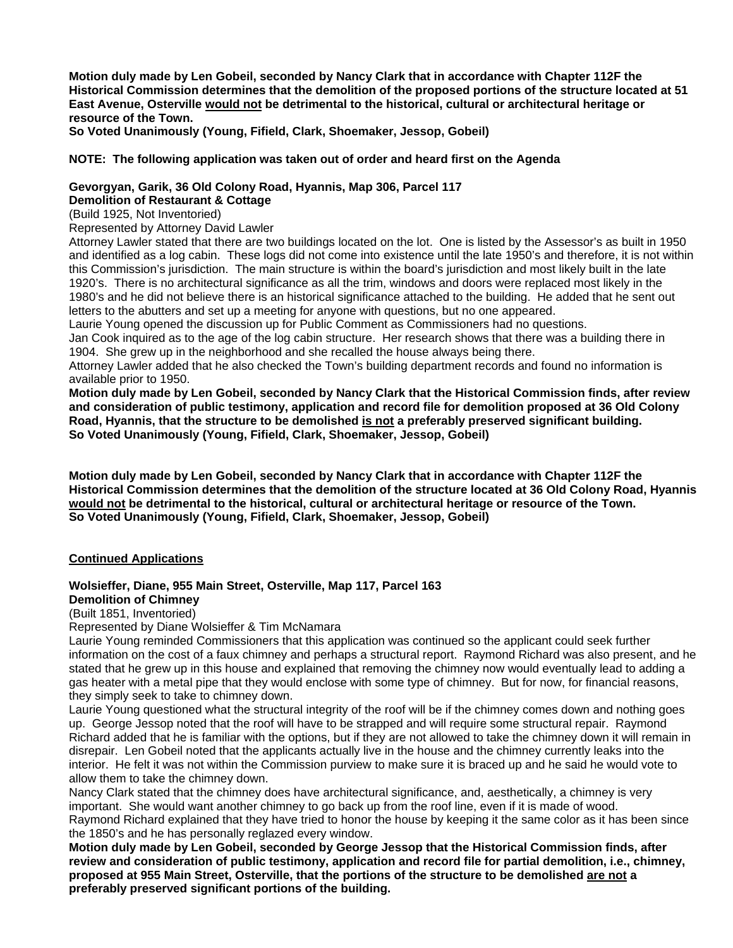**Motion duly made by Len Gobeil, seconded by Nancy Clark that in accordance with Chapter 112F the Historical Commission determines that the demolition of the proposed portions of the structure located at 51 East Avenue, Osterville would not be detrimental to the historical, cultural or architectural heritage or resource of the Town.** 

**So Voted Unanimously (Young, Fifield, Clark, Shoemaker, Jessop, Gobeil)** 

#### **NOTE: The following application was taken out of order and heard first on the Agenda**

### **Gevorgyan, Garik, 36 Old Colony Road, Hyannis, Map 306, Parcel 117 Demolition of Restaurant & Cottage**

(Build 1925, Not Inventoried)

Represented by Attorney David Lawler

Attorney Lawler stated that there are two buildings located on the lot. One is listed by the Assessor's as built in 1950 and identified as a log cabin. These logs did not come into existence until the late 1950's and therefore, it is not within this Commission's jurisdiction. The main structure is within the board's jurisdiction and most likely built in the late 1920's. There is no architectural significance as all the trim, windows and doors were replaced most likely in the 1980's and he did not believe there is an historical significance attached to the building. He added that he sent out letters to the abutters and set up a meeting for anyone with questions, but no one appeared.

Laurie Young opened the discussion up for Public Comment as Commissioners had no questions.

Jan Cook inquired as to the age of the log cabin structure. Her research shows that there was a building there in 1904. She grew up in the neighborhood and she recalled the house always being there.

Attorney Lawler added that he also checked the Town's building department records and found no information is available prior to 1950.

**Motion duly made by Len Gobeil, seconded by Nancy Clark that the Historical Commission finds, after review and consideration of public testimony, application and record file for demolition proposed at 36 Old Colony Road, Hyannis, that the structure to be demolished is not a preferably preserved significant building. So Voted Unanimously (Young, Fifield, Clark, Shoemaker, Jessop, Gobeil)** 

**Motion duly made by Len Gobeil, seconded by Nancy Clark that in accordance with Chapter 112F the Historical Commission determines that the demolition of the structure located at 36 Old Colony Road, Hyannis would not be detrimental to the historical, cultural or architectural heritage or resource of the Town. So Voted Unanimously (Young, Fifield, Clark, Shoemaker, Jessop, Gobeil)** 

### **Continued Applications**

### **Wolsieffer, Diane, 955 Main Street, Osterville, Map 117, Parcel 163**

## **Demolition of Chimney**

(Built 1851, Inventoried)

Represented by Diane Wolsieffer & Tim McNamara

Laurie Young reminded Commissioners that this application was continued so the applicant could seek further information on the cost of a faux chimney and perhaps a structural report. Raymond Richard was also present, and he stated that he grew up in this house and explained that removing the chimney now would eventually lead to adding a gas heater with a metal pipe that they would enclose with some type of chimney. But for now, for financial reasons, they simply seek to take to chimney down.

Laurie Young questioned what the structural integrity of the roof will be if the chimney comes down and nothing goes up. George Jessop noted that the roof will have to be strapped and will require some structural repair. Raymond Richard added that he is familiar with the options, but if they are not allowed to take the chimney down it will remain in disrepair. Len Gobeil noted that the applicants actually live in the house and the chimney currently leaks into the interior. He felt it was not within the Commission purview to make sure it is braced up and he said he would vote to allow them to take the chimney down.

Nancy Clark stated that the chimney does have architectural significance, and, aesthetically, a chimney is very important. She would want another chimney to go back up from the roof line, even if it is made of wood. Raymond Richard explained that they have tried to honor the house by keeping it the same color as it has been since the 1850's and he has personally reglazed every window.

**Motion duly made by Len Gobeil, seconded by George Jessop that the Historical Commission finds, after review and consideration of public testimony, application and record file for partial demolition, i.e., chimney, proposed at 955 Main Street, Osterville, that the portions of the structure to be demolished are not a preferably preserved significant portions of the building.**